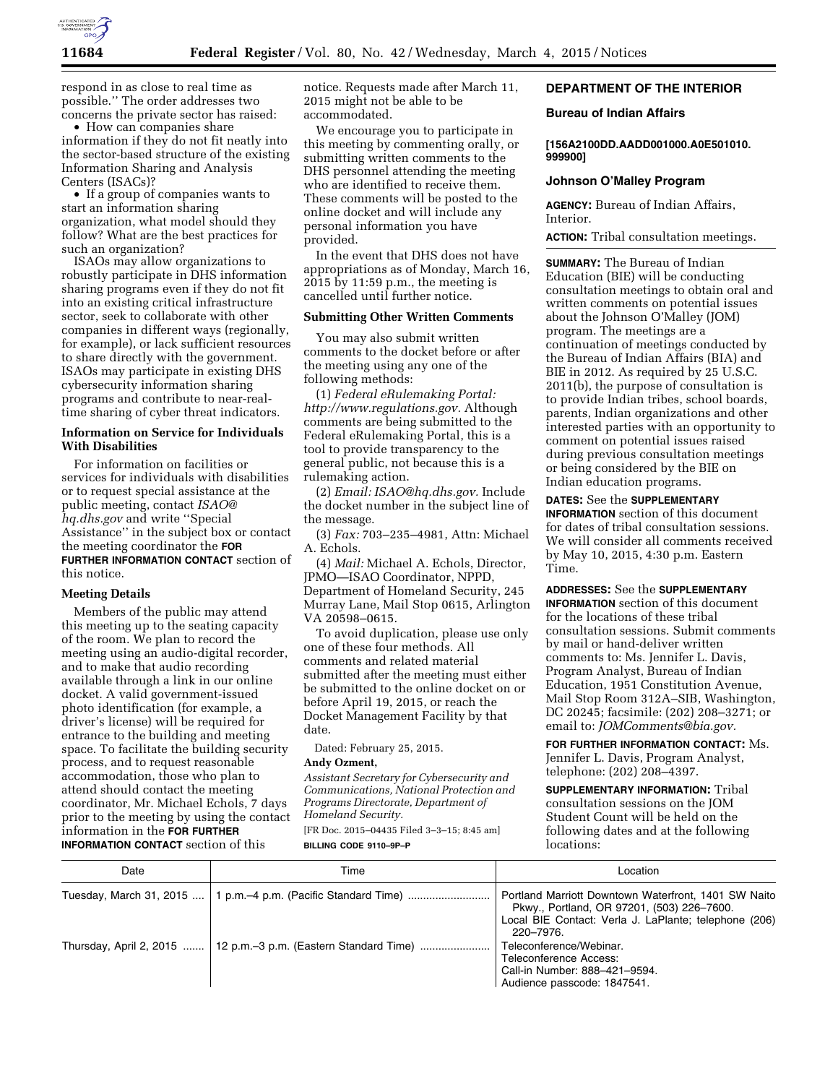

respond in as close to real time as possible.'' The order addresses two concerns the private sector has raised:

• How can companies share information if they do not fit neatly into the sector-based structure of the existing Information Sharing and Analysis Centers (ISACs)?

• If a group of companies wants to start an information sharing organization, what model should they follow? What are the best practices for such an organization?

ISAOs may allow organizations to robustly participate in DHS information sharing programs even if they do not fit into an existing critical infrastructure sector, seek to collaborate with other companies in different ways (regionally, for example), or lack sufficient resources to share directly with the government. ISAOs may participate in existing DHS cybersecurity information sharing programs and contribute to near-realtime sharing of cyber threat indicators.

# **Information on Service for Individuals With Disabilities**

For information on facilities or services for individuals with disabilities or to request special assistance at the public meeting, contact *[ISAO@](mailto:ISAO@hq.dhs.gov) [hq.dhs.gov](mailto:ISAO@hq.dhs.gov)* and write ''Special Assistance'' in the subject box or contact the meeting coordinator the **FOR FURTHER INFORMATION CONTACT** section of this notice.

### **Meeting Details**

Members of the public may attend this meeting up to the seating capacity of the room. We plan to record the meeting using an audio-digital recorder, and to make that audio recording available through a link in our online docket. A valid government-issued photo identification (for example, a driver's license) will be required for entrance to the building and meeting space. To facilitate the building security process, and to request reasonable accommodation, those who plan to attend should contact the meeting coordinator, Mr. Michael Echols, 7 days prior to the meeting by using the contact information in the **FOR FURTHER INFORMATION CONTACT** section of this

notice. Requests made after March 11, 2015 might not be able to be accommodated.

We encourage you to participate in this meeting by commenting orally, or submitting written comments to the DHS personnel attending the meeting who are identified to receive them. These comments will be posted to the online docket and will include any personal information you have provided.

In the event that DHS does not have appropriations as of Monday, March 16, 2015 by 11:59 p.m., the meeting is cancelled until further notice.

#### **Submitting Other Written Comments**

You may also submit written comments to the docket before or after the meeting using any one of the following methods:

(1) *Federal eRulemaking Portal: [http://www.regulations.gov.](http://www.regulations.gov)* Although comments are being submitted to the Federal eRulemaking Portal, this is a tool to provide transparency to the general public, not because this is a rulemaking action.

(2) *Email: [ISAO@hq.dhs.gov.](mailto:ISAO@hq.dhs.gov)* Include the docket number in the subject line of the message.

(3) *Fax:* 703–235–4981, Attn: Michael A. Echols.

(4) *Mail:* Michael A. Echols, Director, JPMO—ISAO Coordinator, NPPD, Department of Homeland Security, 245 Murray Lane, Mail Stop 0615, Arlington VA 20598–0615.

To avoid duplication, please use only one of these four methods. All comments and related material submitted after the meeting must either be submitted to the online docket on or before April 19, 2015, or reach the Docket Management Facility by that date.

Dated: February 25, 2015.

### **Andy Ozment,**

*Assistant Secretary for Cybersecurity and Communications, National Protection and Programs Directorate, Department of Homeland Security.*  [FR Doc. 2015–04435 Filed 3–3–15; 8:45 am]

#### **BILLING CODE 9110–9P–P**

# **DEPARTMENT OF THE INTERIOR**

#### **Bureau of Indian Affairs**

**[156A2100DD.AADD001000.A0E501010. 999900]** 

# **Johnson O'Malley Program**

**AGENCY:** Bureau of Indian Affairs, Interior.

**ACTION:** Tribal consultation meetings.

**SUMMARY:** The Bureau of Indian Education (BIE) will be conducting consultation meetings to obtain oral and written comments on potential issues about the Johnson O'Malley (JOM) program. The meetings are a continuation of meetings conducted by the Bureau of Indian Affairs (BIA) and BIE in 2012. As required by 25 U.S.C. 2011(b), the purpose of consultation is to provide Indian tribes, school boards, parents, Indian organizations and other interested parties with an opportunity to comment on potential issues raised during previous consultation meetings or being considered by the BIE on Indian education programs.

# **DATES:** See the **SUPPLEMENTARY**

**INFORMATION** section of this document for dates of tribal consultation sessions. We will consider all comments received by May 10, 2015, 4:30 p.m. Eastern Time.

# **ADDRESSES:** See the **SUPPLEMENTARY**

**INFORMATION** section of this document for the locations of these tribal consultation sessions. Submit comments by mail or hand-deliver written comments to: Ms. Jennifer L. Davis, Program Analyst, Bureau of Indian Education, 1951 Constitution Avenue, Mail Stop Room 312A–SIB, Washington, DC 20245; facsimile: (202) 208–3271; or email to: *[JOMComments@bia.gov.](mailto:JOMComments@bia.gov)* 

**FOR FURTHER INFORMATION CONTACT:** Ms. Jennifer L. Davis, Program Analyst, telephone: (202) 208–4397.

**SUPPLEMENTARY INFORMATION:** Tribal consultation sessions on the JOM Student Count will be held on the following dates and at the following locations:

| Date | Time                                                             | Location                                                                                                                                                                 |
|------|------------------------------------------------------------------|--------------------------------------------------------------------------------------------------------------------------------------------------------------------------|
|      | Tuesday, March 31, 2015    1 p.m.–4 p.m. (Pacific Standard Time) | Portland Marriott Downtown Waterfront, 1401 SW Naito<br>Pkwy., Portland, OR 97201, (503) 226-7600.<br>Local BIE Contact: Verla J. LaPlante; telephone (206)<br>220–7976. |
|      | Thursday, April 2, 2015  12 p.m. -3 p.m. (Eastern Standard Time) | Teleconference/Webinar.<br>Teleconference Access:<br>Call-in Number: 888-421-9594.<br>Audience passcode: 1847541.                                                        |